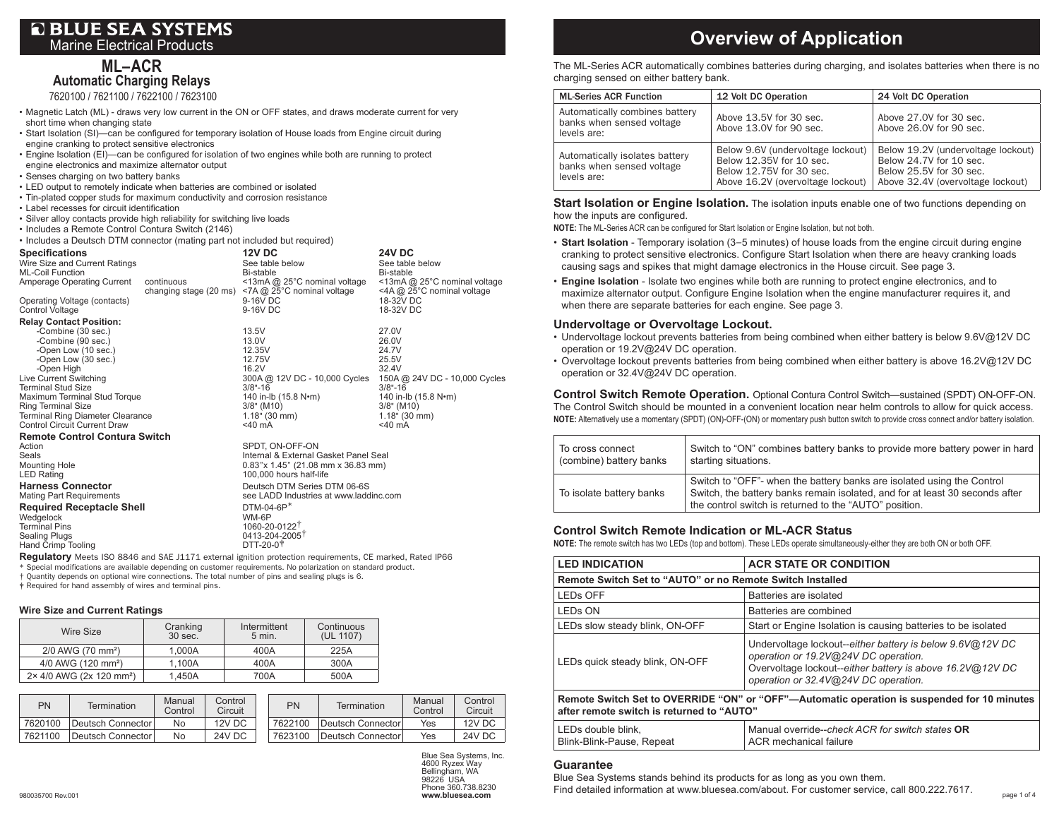# **Q BLUE SEA SYSTEMS** Marine Electrical Products

**ML– ACR Automatic Charging Relays**

7620100 / 7621100 / 7622100 / 7623100

- Magnetic Latch (ML) draws very low current in the ON or OFF states, and draws moderate current for very short time when changing state
- • Start Isolation (SI)—can be configured for temporary isolation of House loads from Engine circuit during engine cranking to protect sensitive electronics
- • Engine Isolation (EI)—can be configured for isolation of two engines while both are running to protect engine electronics and maximize alternator output
- Senses charging on two battery banks
- • LED output to remotely indicate when batteries are combined or isolated
- • Tin-plated copper studs for maximum conductivity and corrosion resistance
- • Label recesses for circuit identification
- • Silver alloy contacts provide high reliability for switching live loads
- Includes a Remote Control Contura Switch (2146)

• Includes a Deutsch DTM connector (mating part not included but required)

| <b>Specifications</b><br>Wire Size and Current Ratings |            | <b>12V DC</b><br>See table below                                                    | <b>24V DC</b><br>See table below                           |
|--------------------------------------------------------|------------|-------------------------------------------------------------------------------------|------------------------------------------------------------|
| <b>ML-Coil Function</b>                                |            | Bi-stable                                                                           | Bi-stable                                                  |
| Amperage Operating Current                             | continuous | <13mA @ 25°C nominal voltage<br>changing stage (20 ms) <7A $@$ 25°C nominal voltage | <13mA @ 25°C nominal voltage<br><4A @ 25°C nominal voltage |
| Operating Voltage (contacts)<br><b>Control Voltage</b> |            | 9-16V DC<br>9-16V DC                                                                | 18-32V DC<br>18-32V DC                                     |
| <b>Relay Contact Position:</b>                         |            |                                                                                     |                                                            |
| -Combine (30 sec.)                                     |            | 13.5V                                                                               | 27.0V                                                      |
| -Combine (90 sec.)                                     |            | 13.0V                                                                               | 26.0V                                                      |
| -Open Low (10 sec.)                                    |            | 12.35V                                                                              | 24.7V                                                      |
| -Open Low (30 sec.)                                    |            | 12.75V                                                                              | 25.5V                                                      |
| -Open High                                             |            | 16.2V                                                                               | 32.4V                                                      |
| Live Current Switching<br><b>Terminal Stud Size</b>    |            | 300A @ 12V DC - 10,000 Cycles<br>$3/8 - 16$                                         | 150A @ 24V DC - 10,000 Cycles<br>$3/8 - 16$                |
| Maximum Terminal Stud Torque                           |            | 140 in-lb (15.8 N•m)                                                                | 140 in-lb (15.8 N•m)                                       |
| <b>Ring Terminal Size</b>                              |            | $3/8$ " (M10)                                                                       | $3/8$ " (M10)                                              |
| <b>Terminal Ring Diameter Clearance</b>                |            | $1.18$ " (30 mm)                                                                    | $1.18$ " (30 mm)                                           |
| <b>Control Circuit Current Draw</b>                    |            | $<$ 40 mA                                                                           | $<$ 40 mA                                                  |
| <b>Remote Control Contura Switch</b>                   |            |                                                                                     |                                                            |
| Action                                                 |            | SPDT. ON-OFF-ON                                                                     |                                                            |
| Seals                                                  |            | Internal & External Gasket Panel Seal                                               |                                                            |
| <b>Mounting Hole</b>                                   |            | $0.83$ "x 1.45" (21.08 mm x 36.83 mm)                                               |                                                            |
| <b>LED Rating</b>                                      |            | 100,000 hours half-life                                                             |                                                            |
| <b>Harness Connector</b>                               |            | Deutsch DTM Series DTM 06-6S                                                        |                                                            |
| <b>Mating Part Requirements</b>                        |            | see LADD Industries at www.laddinc.com                                              |                                                            |
| <b>Required Receptacle Shell</b>                       |            | $DTM-04-6P*$                                                                        |                                                            |
| Wedgelock                                              |            | WM-6P                                                                               |                                                            |
| <b>Terminal Pins</b>                                   |            | 1060-20-0122 <sup>T</sup>                                                           |                                                            |
| <b>Sealing Plugs</b>                                   |            | 0413-204-2005                                                                       |                                                            |
| Hand Crimp Tooling                                     |            | DTT-20-0 <sup>+</sup>                                                               |                                                            |

**Regulatory** Meets ISO 8846 and SAE J1171 external ignition protection requirements, CE marked, Rated IP66 \* Special modifications are available depending on customer requirements. No polarization on standard product. † Quantity depends on optional wire connections. The total number of pins and sealing plugs is 6. ‡ Required for hand assembly of wires and terminal pins.

### **Wire Size and Current Ratings**

| Wire Size                            | Cranking<br>30 sec. | Intermittent<br>$5$ min. | Continuous<br>(UL 1107) |
|--------------------------------------|---------------------|--------------------------|-------------------------|
| 2/0 AWG (70 mm <sup>2</sup> )        | 1.000A              | 400A                     | 225A                    |
| 4/0 AWG (120 mm <sup>2</sup> )       | 1.100A              | 400A                     | 300A                    |
| 2× 4/0 AWG (2x 120 mm <sup>2</sup> ) | 1.450A              | 700A                     | 500A                    |

| PN      | Termination       | Manual<br>Control | Control<br>Circuit | PN      | Termination       | Manual<br>Control | Control<br>Circuit |
|---------|-------------------|-------------------|--------------------|---------|-------------------|-------------------|--------------------|
| 7620100 | Deutsch Connector | No                | 12V DC             | 7622100 | Deutsch Connector | Yes               | 12V DC             |
| 7621100 | Deutsch Connector | No                | 24V DC             | 7623100 | Deutsch Connector | Yes               | 24V DC             |

Blue Sea Systems, Inc. 4600 Ryzex Way Bellingham, WA 98226 USA Phone 360.738.8230 **www.bluesea.com**

# **Overview of Application**

The ML-Series ACR automatically combines batteries during charging, and isolates batteries when there is no charging sensed on either battery bank.

| <b>ML-Series ACR Function</b>                                              | 12 Volt DC Operation                                                                                                           | 24 Volt DC Operation                                                                                                          |
|----------------------------------------------------------------------------|--------------------------------------------------------------------------------------------------------------------------------|-------------------------------------------------------------------------------------------------------------------------------|
| Automatically combines battery<br>banks when sensed voltage<br>levels are: | Above 13.5V for 30 sec.<br>Above 13.0V for 90 sec.                                                                             | Above 27,0V for 30 sec.<br>Above 26.0V for 90 sec.                                                                            |
| Automatically isolates battery<br>banks when sensed voltage<br>levels are: | Below 9.6V (undervoltage lockout)<br>Below 12,35V for 10 sec.<br>Below 12,75V for 30 sec.<br>Above 16.2V (overvoltage lockout) | Below 19.2V (undervoltage lockout)<br>Below 24.7V for 10 sec.<br>Below 25.5V for 30 sec.<br>Above 32.4V (overvoltage lockout) |

### **Start Isolation or Engine Isolation.** The isolation inputs enable one of two functions depending on how the inputs are configured.

**NOTE:** The ML-Series ACR can be configured for Start Isolation or Engine Isolation, but not both.

- **Start Isolation** Temporary isolation (3−5 minutes) of house loads from the engine circuit during engine cranking to protect sensitive electronics. Configure Start Isolation when there are heavy cranking loads causing sags and spikes that might damage electronics in the House circuit. See page 3.
- **Engine Isolation** Isolate two engines while both are running to protect engine electronics, and to maximize alternator output. Configure Engine Isolation when the engine manufacturer requires it, and when there are separate batteries for each engine. See page 3.

# **Undervoltage or Overvoltage Lockout.**

- • Undervoltage lockout prevents batteries from being combined when either battery is below 9.6V@12V DC operation or 19.2V@24V DC operation.
- • Overvoltage lockout prevents batteries from being combined when either battery is above 16.2V@12V DC operation or 32.4V@24V DC operation.

**Control Switch Remote Operation.** Optional Contura Control Switch—sustained (SPDT) ON-OFF-ON. The Control Switch should be mounted in a convenient location near helm controls to allow for quick access. **NOTE:** Alternatively use a momentary (SPDT) (ON)-OFF-(ON) or momentary push button switch to provide cross connect and/or battery isolation.

| To cross connect         | Switch to "ON" combines battery banks to provide more battery power in hard                                                                                                                                      |
|--------------------------|------------------------------------------------------------------------------------------------------------------------------------------------------------------------------------------------------------------|
| (combine) battery banks  | starting situations.                                                                                                                                                                                             |
| To isolate battery banks | Switch to "OFF"- when the battery banks are isolated using the Control<br>Switch, the battery banks remain isolated, and for at least 30 seconds after<br>the control switch is returned to the "AUTO" position. |

# **Control Switch Remote Indication or ML-ACR Status**

**NOTE:** The remote switch has two LEDs (top and bottom). These LEDs operate simultaneously-either they are both ON or both OFF.

| <b>LED INDICATION</b>                                                                                                                    | <b>ACR STATE OR CONDITION</b>                                                                                                                                                                          |  |  |
|------------------------------------------------------------------------------------------------------------------------------------------|--------------------------------------------------------------------------------------------------------------------------------------------------------------------------------------------------------|--|--|
| Remote Switch Set to "AUTO" or no Remote Switch Installed                                                                                |                                                                                                                                                                                                        |  |  |
| <b>LEDS OFF</b>                                                                                                                          | Batteries are isolated                                                                                                                                                                                 |  |  |
| <b>LEDS ON</b>                                                                                                                           | Batteries are combined                                                                                                                                                                                 |  |  |
| LEDs slow steady blink, ON-OFF                                                                                                           | Start or Engine Isolation is causing batteries to be isolated                                                                                                                                          |  |  |
| LEDs quick steady blink, ON-OFF                                                                                                          | Undervoltage lockout--either battery is below 9.6V@12V DC<br>operation or 19.2V@24V DC operation.<br>Overvoltage lockout--either battery is above 16.2V@12V DC<br>operation or 32.4V@24V DC operation. |  |  |
| Remote Switch Set to OVERRIDE "ON" or "OFF"—Automatic operation is suspended for 10 minutes<br>after remote switch is returned to "AUTO" |                                                                                                                                                                                                        |  |  |
| LEDs double blink.<br>Blink-Blink-Pause, Repeat                                                                                          | Manual override--check ACR for switch states OR<br>ACR mechanical failure                                                                                                                              |  |  |

### **Guarantee**

Blue Sea Systems stands behind its products for as long as you own them.

Find detailed information at www.bluesea.com/about. For customer service, call 800.222.7617.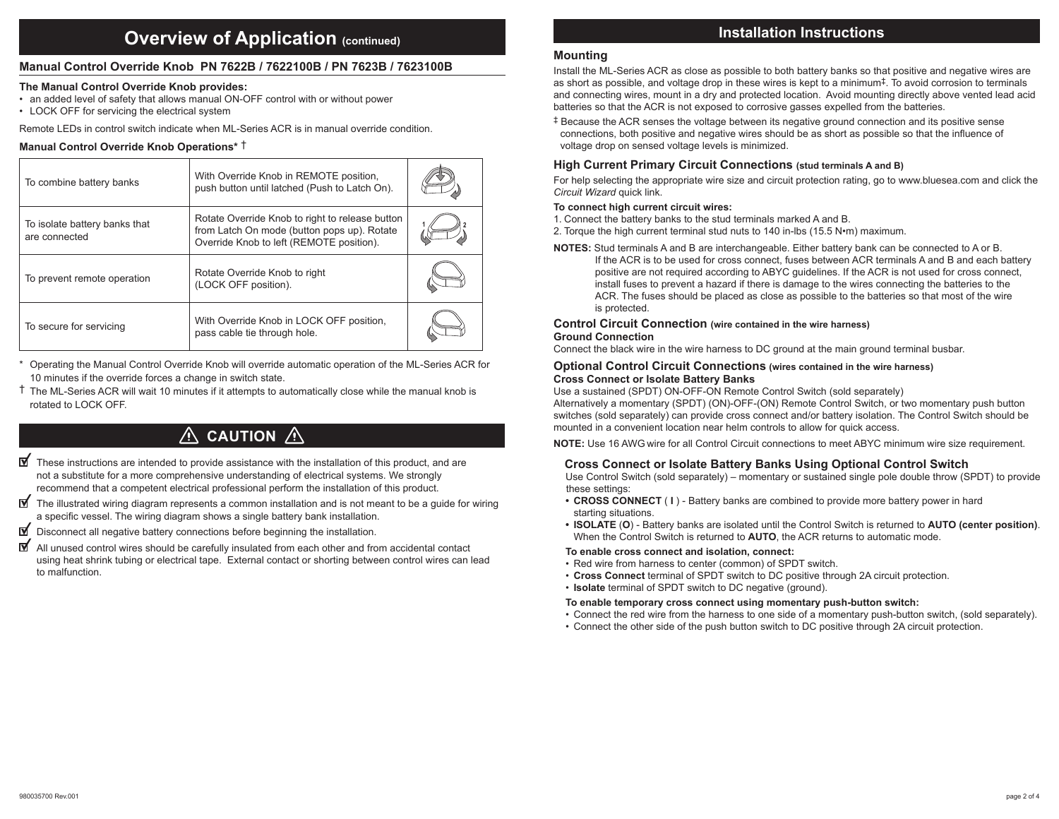# *<u>Overview of Application (continued)*</u>

# **Manual Control Override Knob PN 7622B / 7622100B / PN 7623B / 7623100B**

# **The Manual Control Override Knob provides:**

- an added level of safety that allows manual ON-OFF control with or without power
- LOCK OFF for servicing the electrical system

Remote LEDs in control switch indicate when ML-Series ACR is in manual override condition.

# **Manual Control Override Knob Operations\*** †

| To combine battery banks                       | With Override Knob in REMOTE position,<br>push button until latched (Push to Latch On).                                                    |  |
|------------------------------------------------|--------------------------------------------------------------------------------------------------------------------------------------------|--|
| To isolate battery banks that<br>are connected | Rotate Override Knob to right to release button<br>from Latch On mode (button pops up). Rotate<br>Override Knob to left (REMOTE position). |  |
| To prevent remote operation                    | Rotate Override Knob to right<br>(LOCK OFF position).                                                                                      |  |
| To secure for servicing                        | With Override Knob in LOCK OFF position,<br>pass cable tie through hole.                                                                   |  |

Operating the Manual Control Override Knob will override automatic operation of the ML-Series ACR for 10 minutes if the override forces a change in switch state.

† The ML-Series ACR will wait 10 minutes if it attempts to automatically close while the manual knob is rotated to LOCK OFF.

# $\land$  CAUTION  $\land$

- $\blacksquare$  These instructions are intended to provide assistance with the installation of this product, and are not a substitute for a more comprehensive understanding of electrical systems. We strongly recommend that a competent electrical professional perform the installation of this product.
- ार्ज The illustrated wiring diagram represents a common installation and is not meant to be a guide for wiring a specific vessel. The wiring diagram shows a single battery bank installation.
- ⊠ Disconnect all negative battery connections before beginning the installation.
- ⊺⊽ All unused control wires should be carefully insulated from each other and from accidental contact using heat shrink tubing or electrical tape. External contact or shorting between control wires can lead to malfunction.

# **Installation Instructions**

# **Mounting**

Install the ML-Series ACR as close as possible to both battery banks so that positive and negative wires are as short as possible, and voltage drop in these wires is kept to a minimum‡. To avoid corrosion to terminals and connecting wires, mount in a dry and protected location. Avoid mounting directly above vented lead acid batteries so that the ACR is not exposed to corrosive gasses expelled from the batteries.

‡ Because the ACR senses the voltage between its negative ground connection and its positive sense connections, both positive and negative wires should be as short as possible so that the influence of voltage drop on sensed voltage levels is minimized.

# **High Current Primary Circuit Connections (stud terminals A and B)**

For help selecting the appropriate wire size and circuit protection rating, go to www.bluesea.com and click the *Circuit Wizard* quick link.

# **To connect high current circuit wires:**

- 1. Connect the battery banks to the stud terminals marked A and B.
- 2. Torque the high current terminal stud nuts to 140 in-lbs (15.5 N•m) maximum.
- **NOTES:** Stud terminals A and B are interchangeable. Either battery bank can be connected to A or B. If the ACR is to be used for cross connect, fuses between ACR terminals A and B and each battery positive are not required according to ABYC guidelines. If the ACR is not used for cross connect, install fuses to prevent a hazard if there is damage to the wires connecting the batteries to the ACR. The fuses should be placed as close as possible to the batteries so that most of the wire is protected.

# **Control Circuit Connection (wire contained in the wire harness) Ground Connection**

Connect the black wire in the wire harness to DC ground at the main ground terminal busbar.

#### **Optional Control Circuit Connections (wires contained in the wire harness) Cross Connect or Isolate Battery Banks**

Use a sustained (SPDT) ON-OFF-ON Remote Control Switch (sold separately)

Alternatively a momentary (SPDT) (ON)-OFF-(ON) Remote Control Switch, or two momentary push button switches (sold separately) can provide cross connect and/or battery isolation. The Control Switch should be mounted in a convenient location near helm controls to allow for quick access.

**NOTE:** Use 16 AWG wire for all Control Circuit connections to meet ABYC minimum wire size requirement.

# **Cross Connect or Isolate Battery Banks Using Optional Control Switch**

 Use Control Switch (sold separately) – momentary or sustained single pole double throw (SPDT) to provide these settings:

- **CROSS CONNECT** ( **I**) Battery banks are combined to provide more battery power in hard starting situations.
- **• ISOLATE** (**O**) Battery banks are isolated until the Control Switch is returned to **AUTO (center position)**. When the Control Switch is returned to **AUTO**, the ACR returns to automatic mode.

# **To enable cross connect and isolation, connect:**

- • Red wire from harness to center (common) of SPDT switch.
- **Cross Connect** terminal of SPDT switch to DC positive through 2A circuit protection.
- **Isolate** terminal of SPDT switch to DC negative (ground).

# **To enable temporary cross connect using momentary push-button switch:**

- • Connect the red wire from the harness to one side of a momentary push-button switch, (sold separately).
- • Connect the other side of the push button switch to DC positive through 2A circuit protection.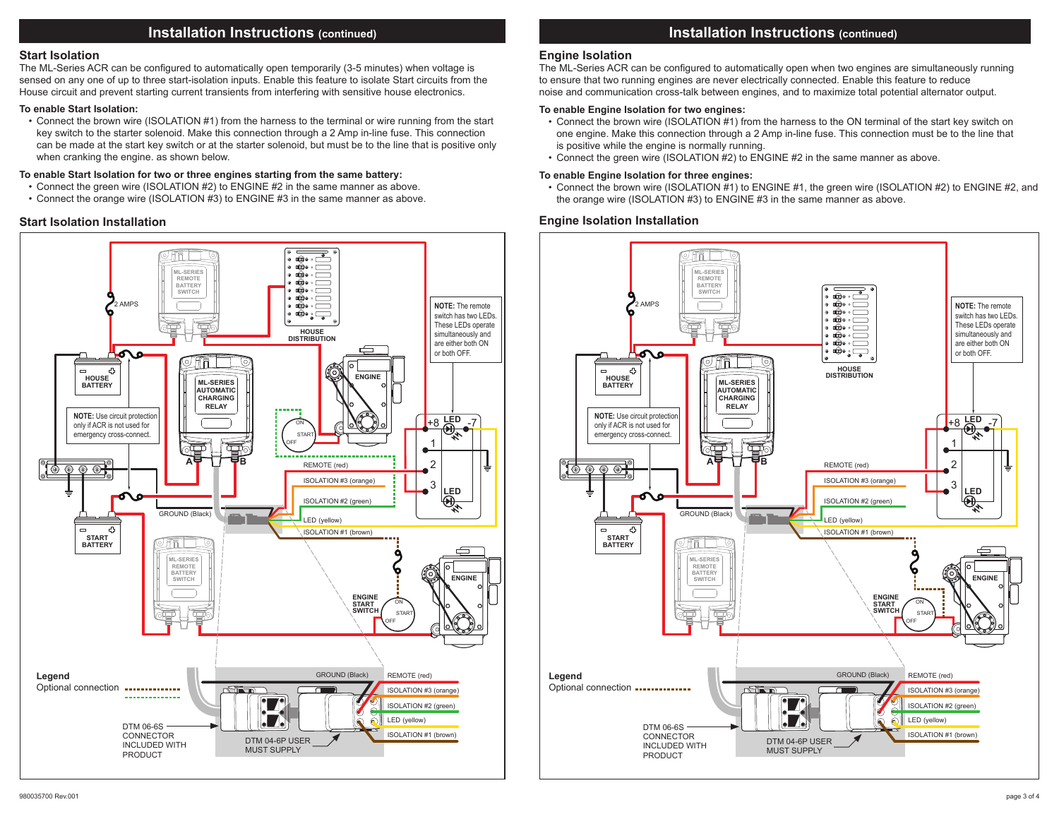# **Installation Instructions (continued)**

## **Start Isolation**

The ML-Series ACR can be configured to automatically open temporarily (3-5 minutes) when voltage is sensed on any one of up to three start-isolation inputs. Enable this feature to isolate Start circuits from the House circuit and prevent starting current transients from interfering with sensitive house electronics.

#### **To enable Start Isolation:**

• Connect the brown wire (ISOLATION #1) from the harness to the terminal or wire running from the start key switch to the starter solenoid. Make this connection through a 2 Amp in-line fuse. This connection can be made at the start key switch or at the starter solenoid, but must be to the line that is positive only when cranking the engine. as shown below.

#### **To enable Start Isolation for two or three engines starting from the same battery:**

- Connect the green wire (ISOLATION #2) to ENGINE #2 in the same manner as above.
- • Connect the orange wire (ISOLATION #3) to ENGINE #3 in the same manner as above.



# **Installation Instructions (continued)**

## **Engine Isolation**

The ML-Series ACR can be configured to automatically open when two engines are simultaneously running to ensure that two running engines are never electrically connected. Enable this feature to reduce noise and communication cross-talk between engines, and to maximize total potential alternator output.

## **To enable Engine Isolation for two engines:**

- Connect the brown wire (ISOLATION #1) from the harness to the ON terminal of the start key switch on one engine. Make this connection through a 2 Amp in-line fuse. This connection must be to the line that is positive while the engine is normally running.
- • Connect the green wire (ISOLATION #2) to ENGINE #2 in the same manner as above.

#### **To enable Engine Isolation for three engines:**

 • Connect the brown wire (ISOLATION #1) to ENGINE #1, the green wire (ISOLATION #2) to ENGINE #2, and the orange wire (ISOLATION #3) to ENGINE #3 in the same manner as above.

# **Start Isolation Installation Engine Isolation Installation**